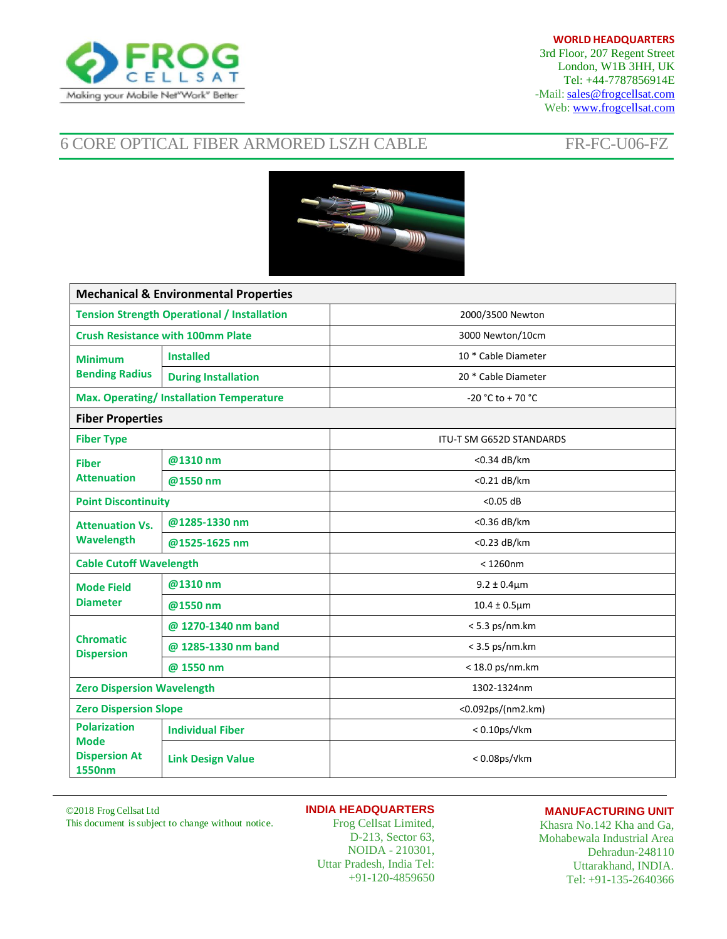

## **WORLD HEADQUARTERS**

3rd Floor, 207 Regent Street London, W1B 3HH, UK Tel: +44-7787856914E -Mail: [sales@frogcellsat.com](mailto:sales@frogcellsat.com) Web: [www.frogcellsat.com](http://www.frogcellsat.com/)

# 6 CORE OPTICAL FIBER ARMORED LSZH CABLE FR-FC-U06-FZ



| <b>Mechanical &amp; Environmental Properties</b>                            |                            |                                 |  |  |
|-----------------------------------------------------------------------------|----------------------------|---------------------------------|--|--|
| <b>Tension Strength Operational / Installation</b>                          |                            | 2000/3500 Newton                |  |  |
| <b>Crush Resistance with 100mm Plate</b>                                    |                            | 3000 Newton/10cm                |  |  |
| <b>Minimum</b><br><b>Bending Radius</b>                                     | <b>Installed</b>           | 10 * Cable Diameter             |  |  |
|                                                                             | <b>During Installation</b> | 20 * Cable Diameter             |  |  |
| <b>Max. Operating/Installation Temperature</b>                              |                            | -20 °C to + 70 °C               |  |  |
| <b>Fiber Properties</b>                                                     |                            |                                 |  |  |
| <b>Fiber Type</b>                                                           |                            | <b>ITU-T SM G652D STANDARDS</b> |  |  |
| <b>Fiber</b><br><b>Attenuation</b>                                          | @1310 nm                   | <0.34 dB/km                     |  |  |
|                                                                             | @1550 nm                   | <0.21 dB/km                     |  |  |
| <b>Point Discontinuity</b>                                                  |                            | $<$ 0.05 dB                     |  |  |
| <b>Attenuation Vs.</b><br>Wavelength                                        | @1285-1330 nm              | <0.36 dB/km                     |  |  |
|                                                                             | @1525-1625 nm              | <0.23 dB/km                     |  |  |
| <b>Cable Cutoff Wavelength</b>                                              |                            | $<$ 1260nm                      |  |  |
| <b>Mode Field</b><br><b>Diameter</b>                                        | @1310 nm                   | $9.2 \pm 0.4 \mu m$             |  |  |
|                                                                             | @1550 nm                   | $10.4 \pm 0.5 \mu m$            |  |  |
| <b>Chromatic</b><br><b>Dispersion</b>                                       | @ 1270-1340 nm band        | $< 5.3$ ps/nm.km                |  |  |
|                                                                             | @ 1285-1330 nm band        | $<$ 3.5 ps/nm.km                |  |  |
|                                                                             | @ 1550 nm                  | $<$ 18.0 ps/nm.km               |  |  |
| <b>Zero Dispersion Wavelength</b>                                           |                            | 1302-1324nm                     |  |  |
| <b>Zero Dispersion Slope</b>                                                |                            | <0.092ps/(nm2.km)               |  |  |
| <b>Polarization</b><br><b>Mode</b><br><b>Dispersion At</b><br><b>1550nm</b> | <b>Individual Fiber</b>    | $< 0.10$ ps/ $V$ km             |  |  |
|                                                                             | <b>Link Design Value</b>   | $< 0.08$ ps/ $V$ km             |  |  |

©2018 Frog Cellsat Ltd

**INDIA HEADQUARTERS**

This document issubject to change without notice.

Frog Cellsat Limited, D-213, Sector 63, NOIDA - 210301, Uttar Pradesh, India Tel: +91-120-4859650

## **MANUFACTURING UNIT**

Khasra No.142 Kha and Ga, Mohabewala Industrial Area Dehradun-248110 Uttarakhand, INDIA. Tel: +91-135-2640366